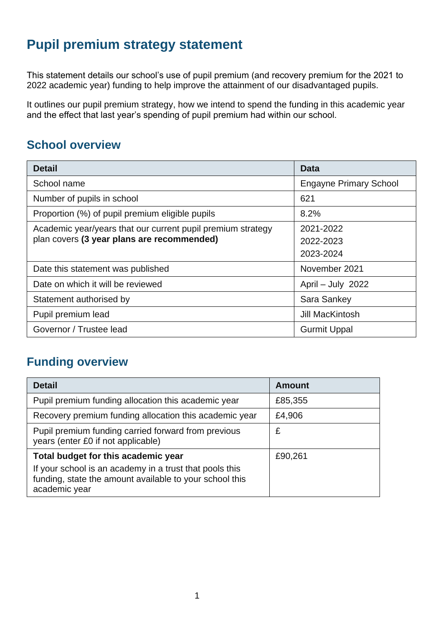## **Pupil premium strategy statement**

This statement details our school's use of pupil premium (and recovery premium for the 2021 to 2022 academic year) funding to help improve the attainment of our disadvantaged pupils.

It outlines our pupil premium strategy, how we intend to spend the funding in this academic year and the effect that last year's spending of pupil premium had within our school.

### **School overview**

| <b>Detail</b>                                                                                             | Data                                |  |
|-----------------------------------------------------------------------------------------------------------|-------------------------------------|--|
| School name                                                                                               | <b>Engayne Primary School</b>       |  |
| Number of pupils in school                                                                                | 621                                 |  |
| Proportion (%) of pupil premium eligible pupils                                                           | 8.2%                                |  |
| Academic year/years that our current pupil premium strategy<br>plan covers (3 year plans are recommended) | 2021-2022<br>2022-2023<br>2023-2024 |  |
| Date this statement was published                                                                         | November 2021                       |  |
| Date on which it will be reviewed                                                                         | April - July 2022                   |  |
| Statement authorised by                                                                                   | Sara Sankey                         |  |
| Pupil premium lead                                                                                        | Jill MacKintosh                     |  |
| Governor / Trustee lead                                                                                   | <b>Gurmit Uppal</b>                 |  |

#### **Funding overview**

| <b>Detail</b>                                                                                                                       | <b>Amount</b> |  |
|-------------------------------------------------------------------------------------------------------------------------------------|---------------|--|
| Pupil premium funding allocation this academic year                                                                                 | £85,355       |  |
| Recovery premium funding allocation this academic year                                                                              | £4,906        |  |
| Pupil premium funding carried forward from previous<br>years (enter £0 if not applicable)                                           | £             |  |
| Total budget for this academic year                                                                                                 | £90,261       |  |
| If your school is an academy in a trust that pools this<br>funding, state the amount available to your school this<br>academic year |               |  |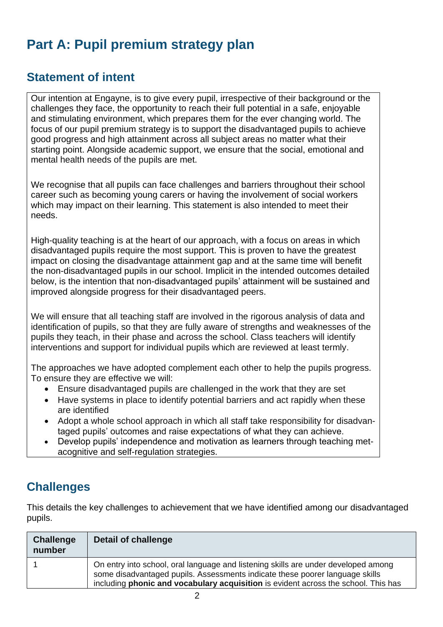# **Part A: Pupil premium strategy plan**

#### **Statement of intent**

Our intention at Engayne, is to give every pupil, irrespective of their background or the challenges they face, the opportunity to reach their full potential in a safe, enjoyable and stimulating environment, which prepares them for the ever changing world. The focus of our pupil premium strategy is to support the disadvantaged pupils to achieve good progress and high attainment across all subject areas no matter what their starting point. Alongside academic support, we ensure that the social, emotional and mental health needs of the pupils are met.

We recognise that all pupils can face challenges and barriers throughout their school career such as becoming young carers or having the involvement of social workers which may impact on their learning. This statement is also intended to meet their needs.

High-quality teaching is at the heart of our approach, with a focus on areas in which disadvantaged pupils require the most support. This is proven to have the greatest impact on closing the disadvantage attainment gap and at the same time will benefit the non-disadvantaged pupils in our school. Implicit in the intended outcomes detailed below, is the intention that non-disadvantaged pupils' attainment will be sustained and improved alongside progress for their disadvantaged peers.

We will ensure that all teaching staff are involved in the rigorous analysis of data and identification of pupils, so that they are fully aware of strengths and weaknesses of the pupils they teach, in their phase and across the school. Class teachers will identify interventions and support for individual pupils which are reviewed at least termly.

The approaches we have adopted complement each other to help the pupils progress. To ensure they are effective we will:

- Ensure disadvantaged pupils are challenged in the work that they are set
- Have systems in place to identify potential barriers and act rapidly when these are identified
- Adopt a whole school approach in which all staff take responsibility for disadvantaged pupils' outcomes and raise expectations of what they can achieve.
- Develop pupils' independence and motivation as learners through teaching metacognitive and self-regulation strategies.

### **Challenges**

This details the key challenges to achievement that we have identified among our disadvantaged pupils.

| <b>Challenge</b><br>number | Detail of challenge                                                                                                                                                                                                                                             |
|----------------------------|-----------------------------------------------------------------------------------------------------------------------------------------------------------------------------------------------------------------------------------------------------------------|
|                            | On entry into school, oral language and listening skills are under developed among<br>some disadvantaged pupils. Assessments indicate these poorer language skills<br>including <b>phonic and vocabulary acquisition</b> is evident across the school. This has |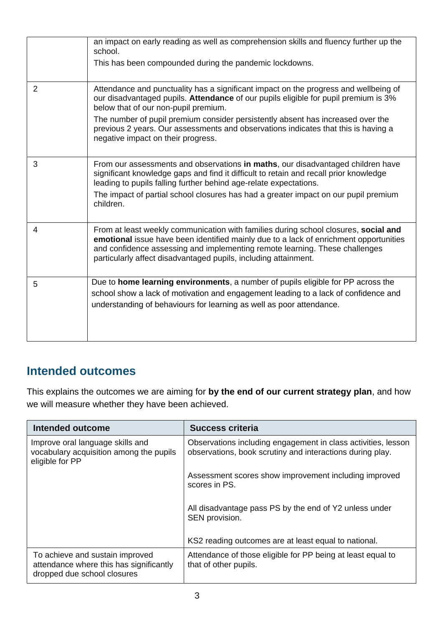|                | an impact on early reading as well as comprehension skills and fluency further up the<br>school.<br>This has been compounded during the pandemic lockdowns.                                                                                                                                                                                                                                                                        |
|----------------|------------------------------------------------------------------------------------------------------------------------------------------------------------------------------------------------------------------------------------------------------------------------------------------------------------------------------------------------------------------------------------------------------------------------------------|
| $\overline{2}$ | Attendance and punctuality has a significant impact on the progress and wellbeing of<br>our disadvantaged pupils. Attendance of our pupils eligible for pupil premium is 3%<br>below that of our non-pupil premium.<br>The number of pupil premium consider persistently absent has increased over the<br>previous 2 years. Our assessments and observations indicates that this is having a<br>negative impact on their progress. |
| 3              | From our assessments and observations in maths, our disadvantaged children have<br>significant knowledge gaps and find it difficult to retain and recall prior knowledge<br>leading to pupils falling further behind age-relate expectations.<br>The impact of partial school closures has had a greater impact on our pupil premium<br>children.                                                                                  |
| 4              | From at least weekly communication with families during school closures, social and<br>emotional issue have been identified mainly due to a lack of enrichment opportunities<br>and confidence assessing and implementing remote learning. These challenges<br>particularly affect disadvantaged pupils, including attainment.                                                                                                     |
| 5              | Due to home learning environments, a number of pupils eligible for PP across the<br>school show a lack of motivation and engagement leading to a lack of confidence and<br>understanding of behaviours for learning as well as poor attendance.                                                                                                                                                                                    |

#### **Intended outcomes**

This explains the outcomes we are aiming for **by the end of our current strategy plan**, and how we will measure whether they have been achieved.

| Intended outcome                                                                                          | <b>Success criteria</b>                                                                                                    |  |
|-----------------------------------------------------------------------------------------------------------|----------------------------------------------------------------------------------------------------------------------------|--|
| Improve oral language skills and<br>vocabulary acquisition among the pupils<br>eligible for PP            | Observations including engagement in class activities, lesson<br>observations, book scrutiny and interactions during play. |  |
|                                                                                                           | Assessment scores show improvement including improved<br>scores in PS.                                                     |  |
|                                                                                                           | All disadvantage pass PS by the end of Y2 unless under<br>SEN provision.                                                   |  |
|                                                                                                           | KS2 reading outcomes are at least equal to national.                                                                       |  |
| To achieve and sustain improved<br>attendance where this has significantly<br>dropped due school closures | Attendance of those eligible for PP being at least equal to<br>that of other pupils.                                       |  |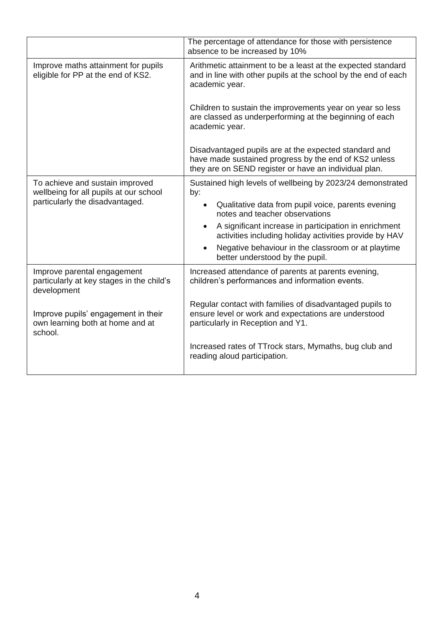|                                                                                         | The percentage of attendance for those with persistence<br>absence to be increased by 10%                                                                               |  |
|-----------------------------------------------------------------------------------------|-------------------------------------------------------------------------------------------------------------------------------------------------------------------------|--|
| Improve maths attainment for pupils<br>eligible for PP at the end of KS2.               | Arithmetic attainment to be a least at the expected standard<br>and in line with other pupils at the school by the end of each<br>academic year.                        |  |
|                                                                                         | Children to sustain the improvements year on year so less<br>are classed as underperforming at the beginning of each<br>academic year.                                  |  |
|                                                                                         | Disadvantaged pupils are at the expected standard and<br>have made sustained progress by the end of KS2 unless<br>they are on SEND register or have an individual plan. |  |
| To achieve and sustain improved<br>wellbeing for all pupils at our school               | Sustained high levels of wellbeing by 2023/24 demonstrated<br>by:                                                                                                       |  |
| particularly the disadvantaged.                                                         | Qualitative data from pupil voice, parents evening<br>notes and teacher observations                                                                                    |  |
|                                                                                         | A significant increase in participation in enrichment<br>$\bullet$<br>activities including holiday activities provide by HAV                                            |  |
|                                                                                         | Negative behaviour in the classroom or at playtime<br>better understood by the pupil.                                                                                   |  |
| Improve parental engagement<br>particularly at key stages in the child's<br>development | Increased attendance of parents at parents evening,<br>children's performances and information events.                                                                  |  |
| Improve pupils' engagement in their<br>own learning both at home and at<br>school.      | Regular contact with families of disadvantaged pupils to<br>ensure level or work and expectations are understood<br>particularly in Reception and Y1.                   |  |
|                                                                                         | Increased rates of TTrock stars, Mymaths, bug club and<br>reading aloud participation.                                                                                  |  |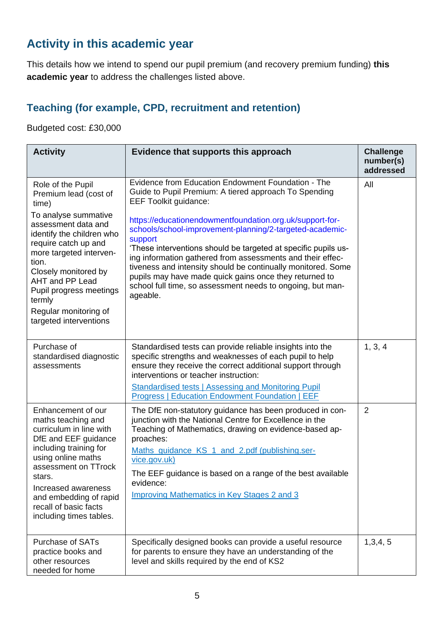### **Activity in this academic year**

This details how we intend to spend our pupil premium (and recovery premium funding) **this academic year** to address the challenges listed above.

#### **Teaching (for example, CPD, recruitment and retention)**

Budgeted cost: £30,000

| <b>Activity</b>                                                                                                                                                                                                                                                                                                                | Evidence that supports this approach                                                                                                                                                                                                                                                                                                                                                                                                                                                                                                                                                                               | <b>Challenge</b><br>number(s)<br>addressed |
|--------------------------------------------------------------------------------------------------------------------------------------------------------------------------------------------------------------------------------------------------------------------------------------------------------------------------------|--------------------------------------------------------------------------------------------------------------------------------------------------------------------------------------------------------------------------------------------------------------------------------------------------------------------------------------------------------------------------------------------------------------------------------------------------------------------------------------------------------------------------------------------------------------------------------------------------------------------|--------------------------------------------|
| Role of the Pupil<br>Premium lead (cost of<br>time)<br>To analyse summative<br>assessment data and<br>identify the children who<br>require catch up and<br>more targeted interven-<br>tion.<br>Closely monitored by<br>AHT and PP Lead<br>Pupil progress meetings<br>termly<br>Regular monitoring of<br>targeted interventions | Evidence from Education Endowment Foundation - The<br>Guide to Pupil Premium: A tiered approach To Spending<br><b>EEF Toolkit guidance:</b><br>https://educationendowmentfoundation.org.uk/support-for-<br>schools/school-improvement-planning/2-targeted-academic-<br>support<br>'These interventions should be targeted at specific pupils us-<br>ing information gathered from assessments and their effec-<br>tiveness and intensity should be continually monitored. Some<br>pupils may have made quick gains once they returned to<br>school full time, so assessment needs to ongoing, but man-<br>ageable. | All                                        |
| Purchase of<br>standardised diagnostic<br>assessments                                                                                                                                                                                                                                                                          | Standardised tests can provide reliable insights into the<br>specific strengths and weaknesses of each pupil to help<br>ensure they receive the correct additional support through<br>interventions or teacher instruction:<br><b>Standardised tests   Assessing and Monitoring Pupil</b><br><b>Progress   Education Endowment Foundation   EEF</b>                                                                                                                                                                                                                                                                | 1, 3, 4                                    |
| Enhancement of our<br>maths teaching and<br>curriculum in line with<br>DfE and EEF guidance<br>including training for<br>using online maths<br>assessment on TTrock<br>stars.<br>Increased awareness<br>and embedding of rapid<br>recall of basic facts<br>including times tables.                                             | The DfE non-statutory guidance has been produced in con-<br>junction with the National Centre for Excellence in the<br>Teaching of Mathematics, drawing on evidence-based ap-<br>proaches:<br>Maths_quidance_KS_1_and_2.pdf (publishing.ser-<br>vice.gov.uk)<br>The EEF guidance is based on a range of the best available<br>evidence:<br><b>Improving Mathematics in Key Stages 2 and 3</b>                                                                                                                                                                                                                      | 2                                          |
| <b>Purchase of SATs</b><br>practice books and<br>other resources<br>needed for home                                                                                                                                                                                                                                            | Specifically designed books can provide a useful resource<br>for parents to ensure they have an understanding of the<br>level and skills required by the end of KS2                                                                                                                                                                                                                                                                                                                                                                                                                                                | 1,3,4,5                                    |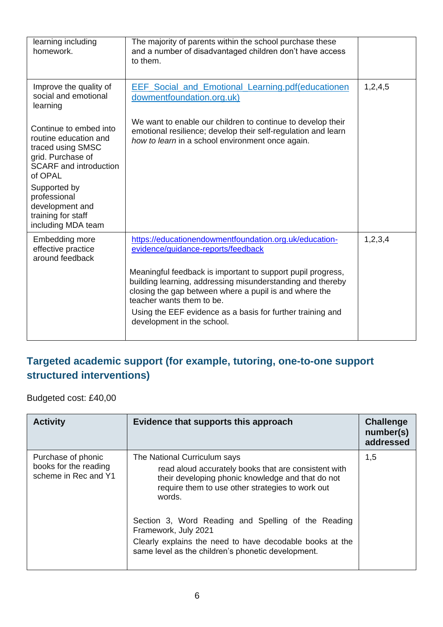| learning including<br>homework.                                                                                                                                                                                                      | The majority of parents within the school purchase these<br>and a number of disadvantaged children don't have access<br>to them.                                                                                                                                                                                                                                                                             |         |
|--------------------------------------------------------------------------------------------------------------------------------------------------------------------------------------------------------------------------------------|--------------------------------------------------------------------------------------------------------------------------------------------------------------------------------------------------------------------------------------------------------------------------------------------------------------------------------------------------------------------------------------------------------------|---------|
| Improve the quality of<br>social and emotional<br>learning                                                                                                                                                                           | <b>EEF</b> Social and Emotional Learning.pdf(educationen<br>dowmentfoundation.org.uk)                                                                                                                                                                                                                                                                                                                        | 1,2,4,5 |
| Continue to embed into<br>routine education and<br>traced using SMSC<br>grid. Purchase of<br><b>SCARF</b> and introduction<br>of OPAL<br>Supported by<br>professional<br>development and<br>training for staff<br>including MDA team | We want to enable our children to continue to develop their<br>emotional resilience; develop their self-regulation and learn<br>how to learn in a school environment once again.                                                                                                                                                                                                                             |         |
| Embedding more<br>effective practice<br>around feedback                                                                                                                                                                              | https://educationendowmentfoundation.org.uk/education-<br>evidence/quidance-reports/feedback<br>Meaningful feedback is important to support pupil progress,<br>building learning, addressing misunderstanding and thereby<br>closing the gap between where a pupil is and where the<br>teacher wants them to be.<br>Using the EEF evidence as a basis for further training and<br>development in the school. | 1,2,3,4 |

#### **Targeted academic support (for example, tutoring, one-to-one support structured interventions)**

Budgeted cost: £40,00

| <b>Activity</b>                                                     | Evidence that supports this approach                                                                                                                                                                                                                                                                                                                                                                     | <b>Challenge</b><br>number(s)<br>addressed |
|---------------------------------------------------------------------|----------------------------------------------------------------------------------------------------------------------------------------------------------------------------------------------------------------------------------------------------------------------------------------------------------------------------------------------------------------------------------------------------------|--------------------------------------------|
| Purchase of phonic<br>books for the reading<br>scheme in Rec and Y1 | The National Curriculum says<br>read aloud accurately books that are consistent with<br>their developing phonic knowledge and that do not<br>require them to use other strategies to work out<br>words.<br>Section 3, Word Reading and Spelling of the Reading<br>Framework, July 2021<br>Clearly explains the need to have decodable books at the<br>same level as the children's phonetic development. | 1,5                                        |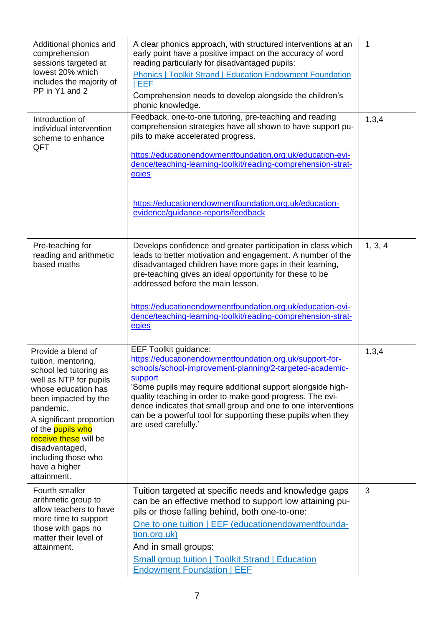| Additional phonics and<br>comprehension<br>sessions targeted at<br>lowest 20% which<br>includes the majority of<br>PP in Y1 and 2                                                                                                                                                                                   | A clear phonics approach, with structured interventions at an<br>early point have a positive impact on the accuracy of word<br>reading particularly for disadvantaged pupils:<br><b>Phonics   Toolkit Strand   Education Endowment Foundation</b><br>EEF<br>Comprehension needs to develop alongside the children's<br>phonic knowledge.                                                                                                             | $\mathbf{1}$ |
|---------------------------------------------------------------------------------------------------------------------------------------------------------------------------------------------------------------------------------------------------------------------------------------------------------------------|------------------------------------------------------------------------------------------------------------------------------------------------------------------------------------------------------------------------------------------------------------------------------------------------------------------------------------------------------------------------------------------------------------------------------------------------------|--------------|
| Introduction of<br>individual intervention<br>scheme to enhance<br>QFT                                                                                                                                                                                                                                              | Feedback, one-to-one tutoring, pre-teaching and reading<br>comprehension strategies have all shown to have support pu-<br>pils to make accelerated progress.<br>https://educationendowmentfoundation.org.uk/education-evi-<br>dence/teaching-learning-toolkit/reading-comprehension-strat-<br>egies<br>https://educationendowmentfoundation.org.uk/education-<br>evidence/guidance-reports/feedback                                                  | 1,3,4        |
| Pre-teaching for<br>reading and arithmetic<br>based maths                                                                                                                                                                                                                                                           | Develops confidence and greater participation in class which<br>leads to better motivation and engagement. A number of the<br>disadvantaged children have more gaps in their learning,<br>pre-teaching gives an ideal opportunity for these to be<br>addressed before the main lesson.<br>https://educationendowmentfoundation.org.uk/education-evi-<br>dence/teaching-learning-toolkit/reading-comprehension-strat-<br>egies                        | 1, 3, 4      |
| Provide a blend of<br>tuition, mentoring,<br>school led tutoring as<br>well as NTP for pupils<br>whose education has<br>been impacted by the<br>pandemic.<br>A significant proportion<br>of the <b>pupils who</b><br>receive these will be<br>disadvantaged,<br>including those who<br>have a higher<br>attainment. | <b>EEF Toolkit guidance:</b><br>https://educationendowmentfoundation.org.uk/support-for-<br>schools/school-improvement-planning/2-targeted-academic-<br>support<br>'Some pupils may require additional support alongside high-<br>quality teaching in order to make good progress. The evi-<br>dence indicates that small group and one to one interventions<br>can be a powerful tool for supporting these pupils when they<br>are used carefully.' | 1,3,4        |
| Fourth smaller<br>arithmetic group to<br>allow teachers to have<br>more time to support<br>those with gaps no<br>matter their level of<br>attainment.                                                                                                                                                               | Tuition targeted at specific needs and knowledge gaps<br>can be an effective method to support low attaining pu-<br>pils or those falling behind, both one-to-one:<br>One to one tuition   EEF (educationendowmentfounda-<br>tion.org.uk)<br>And in small groups:<br><b>Small group tuition   Toolkit Strand   Education</b><br><b>Endowment Foundation   EEF</b>                                                                                    | 3            |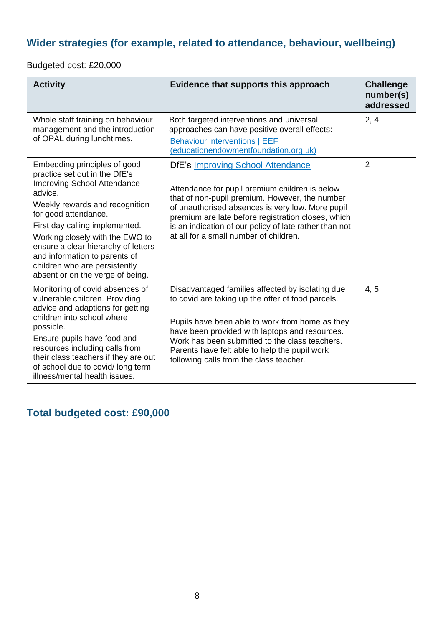#### **Wider strategies (for example, related to attendance, behaviour, wellbeing)**

Budgeted cost: £20,000

| <b>Activity</b>                                                                                                                                                                                                                                                                                                                                                                            | Evidence that supports this approach                                                                                                                                                                                                                                                                                                                       | <b>Challenge</b><br>number(s)<br>addressed |
|--------------------------------------------------------------------------------------------------------------------------------------------------------------------------------------------------------------------------------------------------------------------------------------------------------------------------------------------------------------------------------------------|------------------------------------------------------------------------------------------------------------------------------------------------------------------------------------------------------------------------------------------------------------------------------------------------------------------------------------------------------------|--------------------------------------------|
| Whole staff training on behaviour<br>management and the introduction<br>of OPAL during lunchtimes.                                                                                                                                                                                                                                                                                         | Both targeted interventions and universal<br>approaches can have positive overall effects:<br><b>Behaviour interventions   EEF</b><br>(educationendowmentfoundation.org.uk)                                                                                                                                                                                | 2, 4                                       |
| Embedding principles of good<br>practice set out in the DfE's<br><b>Improving School Attendance</b><br>advice.<br>Weekly rewards and recognition<br>for good attendance.<br>First day calling implemented.<br>Working closely with the EWO to<br>ensure a clear hierarchy of letters<br>and information to parents of<br>children who are persistently<br>absent or on the verge of being. | <b>DfE's Improving School Attendance</b><br>Attendance for pupil premium children is below<br>that of non-pupil premium. However, the number<br>of unauthorised absences is very low. More pupil<br>premium are late before registration closes, which<br>is an indication of our policy of late rather than not<br>at all for a small number of children. | $\overline{2}$                             |
| Monitoring of covid absences of<br>vulnerable children. Providing<br>advice and adaptions for getting<br>children into school where<br>possible.<br>Ensure pupils have food and<br>resources including calls from<br>their class teachers if they are out<br>of school due to covid/long term<br>illness/mental health issues.                                                             | Disadvantaged families affected by isolating due<br>to covid are taking up the offer of food parcels.<br>Pupils have been able to work from home as they<br>have been provided with laptops and resources.<br>Work has been submitted to the class teachers.<br>Parents have felt able to help the pupil work<br>following calls from the class teacher.   | 4, 5                                       |

**Total budgeted cost: £90,000**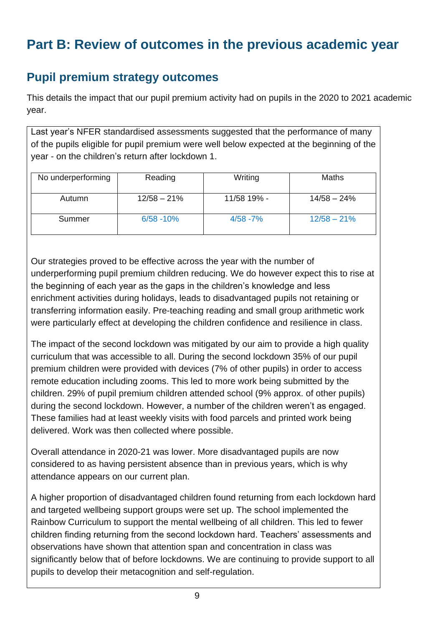# **Part B: Review of outcomes in the previous academic year**

#### **Pupil premium strategy outcomes**

This details the impact that our pupil premium activity had on pupils in the 2020 to 2021 academic year.

Last year's NFER standardised assessments suggested that the performance of many of the pupils eligible for pupil premium were well below expected at the beginning of the year - on the children's return after lockdown 1.

| No underperforming | Reading       | Writing     | <b>Maths</b>  |
|--------------------|---------------|-------------|---------------|
| Autumn             | $12/58 - 21%$ | 11/58 19% - | $14/58 - 24%$ |
| Summer             | $6/58 - 10%$  | $4/58 - 7%$ | $12/58 - 21%$ |

Our strategies proved to be effective across the year with the number of underperforming pupil premium children reducing. We do however expect this to rise at the beginning of each year as the gaps in the children's knowledge and less enrichment activities during holidays, leads to disadvantaged pupils not retaining or transferring information easily. Pre-teaching reading and small group arithmetic work were particularly effect at developing the children confidence and resilience in class.

The impact of the second lockdown was mitigated by our aim to provide a high quality curriculum that was accessible to all. During the second lockdown 35% of our pupil premium children were provided with devices (7% of other pupils) in order to access remote education including zooms. This led to more work being submitted by the children. 29% of pupil premium children attended school (9% approx. of other pupils) during the second lockdown. However, a number of the children weren't as engaged. These families had at least weekly visits with food parcels and printed work being delivered. Work was then collected where possible.

Overall attendance in 2020-21 was lower. More disadvantaged pupils are now considered to as having persistent absence than in previous years, which is why attendance appears on our current plan.

A higher proportion of disadvantaged children found returning from each lockdown hard and targeted wellbeing support groups were set up. The school implemented the Rainbow Curriculum to support the mental wellbeing of all children. This led to fewer children finding returning from the second lockdown hard. Teachers' assessments and observations have shown that attention span and concentration in class was significantly below that of before lockdowns. We are continuing to provide support to all pupils to develop their metacognition and self-regulation.